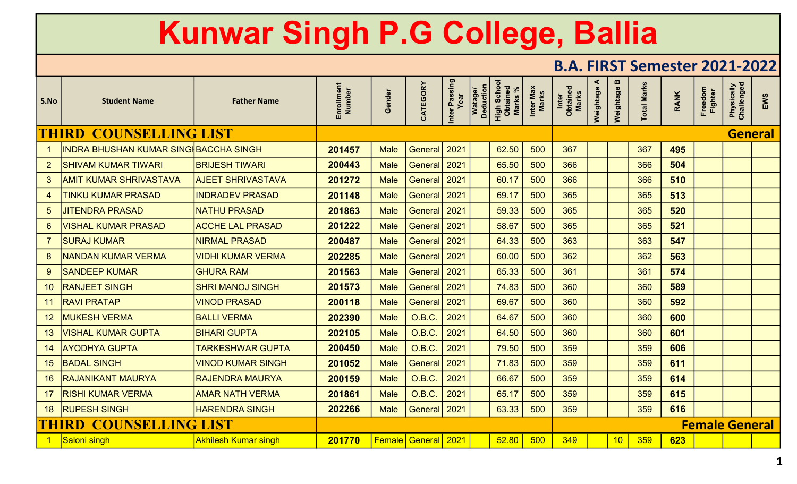|                 |                                              |                             |                      |             |                            |                       |                                    |                                           |                    |                            |                |                                                    | DIAI LIIVI JUHUJUU LULI LULI |             |                       |                          |                |
|-----------------|----------------------------------------------|-----------------------------|----------------------|-------------|----------------------------|-----------------------|------------------------------------|-------------------------------------------|--------------------|----------------------------|----------------|----------------------------------------------------|------------------------------|-------------|-----------------------|--------------------------|----------------|
| S.No            | <b>Student Name</b>                          | <b>Father Name</b>          | Enrollment<br>Number | Gender      | CATEGORY                   | Inter Passing<br>Year | <b>Deduction</b><br><b>Watage/</b> | <b>High School</b><br>Obtained<br>Marks % | Inter Max<br>Marks | Inter<br>Obtained<br>Marks | ◀<br>Weightage | $\boldsymbol{\underline{\mathsf{m}}}$<br>Weightage | <b>Total Marks</b>           | <b>RANK</b> | Freedom<br>Fighter    | Physically<br>Challenged | EWS            |
|                 | <b>THIRD COUNSELLING LIST</b>                |                             |                      |             |                            |                       |                                    |                                           |                    |                            |                |                                                    |                              |             |                       |                          | <b>General</b> |
|                 | <u>INDRA BHUSHAN KUMAR SING∦BACCHA SINGH</u> |                             | 201457               | <b>Male</b> | General                    | 2021                  |                                    | 62.50                                     | 500                | 367                        |                |                                                    | 367                          | 495         |                       |                          |                |
| 2 <sup>2</sup>  | <b>SHIVAM KUMAR TIWARI</b>                   | <b>BRIJESH TIWARI</b>       | 200443               | <b>Male</b> | <b>General</b>             | 2021                  |                                    | 65.50                                     | 500                | 366                        |                |                                                    | 366                          | 504         |                       |                          |                |
| 3 <sup>1</sup>  | <b>AMIT KUMAR SHRIVASTAVA</b>                | <b>AJEET SHRIVASTAVA</b>    | 201272               | <b>Male</b> | General                    | 2021                  |                                    | 60.17                                     | 500                | 366                        |                |                                                    | 366                          | 510         |                       |                          |                |
| 4               | <b>TINKU KUMAR PRASAD</b>                    | <b>INDRADEV PRASAD</b>      | 201148               | <b>Male</b> | <b>General</b>             | 2021                  |                                    | 69.17                                     | 500                | 365                        |                |                                                    | 365                          | 513         |                       |                          |                |
| 5 <sup>5</sup>  | <b>JITENDRA PRASAD</b>                       | <b>NATHU PRASAD</b>         | 201863               | <b>Male</b> | General                    | 2021                  |                                    | 59.33                                     | 500                | 365                        |                |                                                    | 365                          | 520         |                       |                          |                |
| 6               | <b>VISHAL KUMAR PRASAD</b>                   | <b>ACCHE LAL PRASAD</b>     | 201222               | <b>Male</b> | General                    | 2021                  |                                    | 58.67                                     | 500                | 365                        |                |                                                    | 365                          | 521         |                       |                          |                |
|                 | <b>SURAJ KUMAR</b>                           | <b>NIRMAL PRASAD</b>        | 200487               | <b>Male</b> | <b>General</b>             | 2021                  |                                    | 64.33                                     | 500                | 363                        |                |                                                    | 363                          | 547         |                       |                          |                |
| 8               | <b>NANDAN KUMAR VERMA</b>                    | <b>VIDHI KUMAR VERMA</b>    | 202285               | <b>Male</b> | <b>General</b>             | 2021                  |                                    | 60.00                                     | 500                | 362                        |                |                                                    | 362                          | 563         |                       |                          |                |
| 9               | <b>SANDEEP KUMAR</b>                         | <b>GHURA RAM</b>            | 201563               | <b>Male</b> | <b>General</b>             | 2021                  |                                    | 65.33                                     | 500                | 361                        |                |                                                    | 361                          | 574         |                       |                          |                |
| 10              | <b>RANJEET SINGH</b>                         | <u>ISHRI MANOJ SINGH</u>    | 201573               | <b>Male</b> | <b>General</b>             | 2021                  |                                    | 74.83                                     | 500                | 360                        |                |                                                    | 360                          | 589         |                       |                          |                |
| 11              | <b>RAVI PRATAP</b>                           | <b>VINOD PRASAD</b>         | 200118               | <b>Male</b> | <b>General</b>             | 2021                  |                                    | 69.67                                     | 500                | 360                        |                |                                                    | 360                          | 592         |                       |                          |                |
| 12 <sub>2</sub> | <b>MUKESH VERMA</b>                          | <b>BALLI VERMA</b>          | 202390               | <b>Male</b> | O.B.C.                     | 2021                  |                                    | 64.67                                     | 500                | 360                        |                |                                                    | 360                          | 600         |                       |                          |                |
| 13 <sup>°</sup> | <b>VISHAL KUMAR GUPTA</b>                    | <b>BIHARI GUPTA</b>         | 202105               | <b>Male</b> | O.B.C.                     | 2021                  |                                    | 64.50                                     | 500                | 360                        |                |                                                    | 360                          | 601         |                       |                          |                |
| 14              | <b>AYODHYA GUPTA</b>                         | <b>TARKESHWAR GUPTA</b>     | 200450               | <b>Male</b> | O.B.C.                     | 2021                  |                                    | 79.50                                     | 500                | 359                        |                |                                                    | 359                          | 606         |                       |                          |                |
| 15              | <b>BADAL SINGH</b>                           | <b>VINOD KUMAR SINGH</b>    | 201052               | <b>Male</b> | General                    | 2021                  |                                    | 71.83                                     | 500                | 359                        |                |                                                    | 359                          | 611         |                       |                          |                |
| 16 <sup>°</sup> | <b>RAJANIKANT MAURYA</b>                     | <b>RAJENDRA MAURYA</b>      | 200159               | <b>Male</b> | O.B.C.                     | 2021                  |                                    | 66.67                                     | 500                | 359                        |                |                                                    | 359                          | 614         |                       |                          |                |
| 17 <sup>2</sup> | <b>RISHI KUMAR VERMA</b>                     | <b>AMAR NATH VERMA</b>      | 201861               | <b>Male</b> | O.B.C.                     | 2021                  |                                    | 65.17                                     | 500                | 359                        |                |                                                    | 359                          | 615         |                       |                          |                |
|                 | 18 RUPESH SINGH                              | <b>HARENDRA SINGH</b>       | 202266               | <b>Male</b> | <b>General</b>             | 2021                  |                                    | 63.33                                     | 500                | 359                        |                |                                                    | 359                          | 616         |                       |                          |                |
|                 | <b>THIRD COUNSELLING LIST</b>                |                             |                      |             |                            |                       |                                    |                                           |                    |                            |                |                                                    |                              |             | <b>Female General</b> |                          |                |
|                 | 1 Saloni singh                               | <b>Akhilesh Kumar singh</b> | 201770               |             | <b>Female General</b> 2021 |                       |                                    | 52.80                                     | 500                | 349                        |                | 10 <sup>°</sup>                                    | 359                          | 623         |                       |                          |                |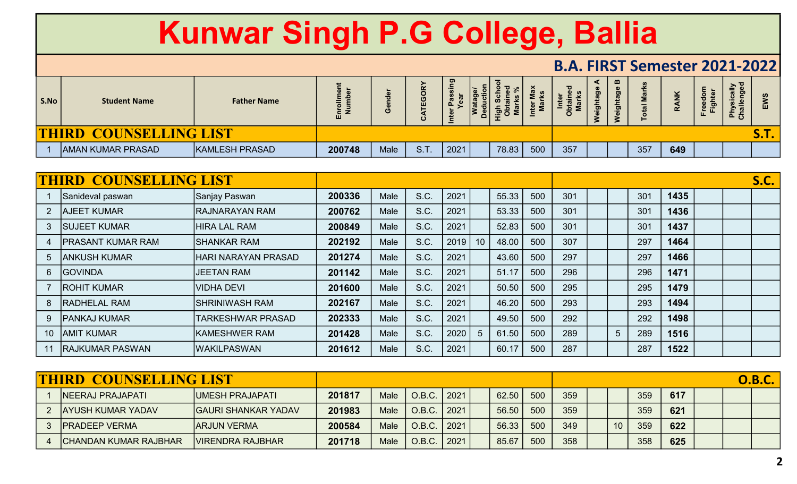|      |                                         |                       |               |      |                       |      |   |                               |       | D.A. TINJI JEHIESIEI ZUZI-ZUZZI |                |                                      |     |              |                             |                                                               |             |  |
|------|-----------------------------------------|-----------------------|---------------|------|-----------------------|------|---|-------------------------------|-------|---------------------------------|----------------|--------------------------------------|-----|--------------|-----------------------------|---------------------------------------------------------------|-------------|--|
| S.No | <b>Student Name</b>                     | <b>Father Name</b>    | Enroll<br>Num |      | m<br>ш<br>$\mathbf c$ | __   | o | 0 <sub>0</sub><br><u>.ඉ ධ</u> | ا سوا |                                 | $\overline{9}$ | $\mathbf{m}$<br>ಠಾ<br>$\overline{5}$ |     | $\checkmark$ | $\frac{e}{E}$ $\frac{E}{E}$ | $\geq 7$<br>o.<br>ပ<br>$\overline{a}$<br>$\frac{1}{2}$<br>ن ≏ | ш           |  |
|      | <b>COUNSELLING LIST</b><br><b>THIRD</b> |                       |               |      |                       |      |   |                               |       |                                 |                |                                      |     |              |                             |                                                               | <b>S.T.</b> |  |
|      | <b>AMAN KUMAR PRASAD</b>                | <b>KAMLESH PRASAD</b> | 200748        | Male | S.T                   | 2021 |   | 78.83                         | 500   | 357                             |                |                                      | 357 | 649          |                             |                                                               |             |  |

|    | <b>THIRD COUNSELLING LIST</b> |                            |        |      |      |      |    |       |     |     |   |     |      |  | <b>S.C.</b> |
|----|-------------------------------|----------------------------|--------|------|------|------|----|-------|-----|-----|---|-----|------|--|-------------|
|    | Sanideval paswan              | Sanjay Paswan              | 200336 | Male | S.C. | 2021 |    | 55.33 | 500 | 301 |   | 301 | 1435 |  |             |
| 2  | <b>AJEET KUMAR</b>            | <b>RAJNARAYAN RAM</b>      | 200762 | Male | S.C. | 2021 |    | 53.33 | 500 | 301 |   | 301 | 1436 |  |             |
| 3  | <b>SUJEET KUMAR</b>           | <b>HIRA LAL RAM</b>        | 200849 | Male | S.C. | 2021 |    | 52.83 | 500 | 301 |   | 301 | 1437 |  |             |
| 4  | <b>PRASANT KUMAR RAM</b>      | <b>ISHANKAR RAM</b>        | 202192 | Male | S.C. | 2019 | 10 | 48.00 | 500 | 307 |   | 297 | 1464 |  |             |
| 5  | ANKUSH KUMAR                  | <b>HARI NARAYAN PRASAD</b> | 201274 | Male | S.C. | 2021 |    | 43.60 | 500 | 297 |   | 297 | 1466 |  |             |
| 6  | <b>IGOVINDA</b>               | <b>JEETAN RAM</b>          | 201142 | Male | S.C. | 2021 |    | 51.17 | 500 | 296 |   | 296 | 1471 |  |             |
|    | <b>ROHIT KUMAR</b>            | IVIDHA DEVI                | 201600 | Male | S.C. | 2021 |    | 50.50 | 500 | 295 |   | 295 | 1479 |  |             |
| 8  | <b>RADHELAL RAM</b>           | <b>SHRINIWASH RAM</b>      | 202167 | Male | S.C. | 2021 |    | 46.20 | 500 | 293 |   | 293 | 1494 |  |             |
| 9  | <b>PANKAJ KUMAR</b>           | <b>TARKESHWAR PRASAD</b>   | 202333 | Male | S.C. | 2021 |    | 49.50 | 500 | 292 |   | 292 | 1498 |  |             |
| 10 | <b>JAMIT KUMAR</b>            | <b>KAMESHWER RAM</b>       | 201428 | Male | S.C. | 2020 | 5  | 61.50 | 500 | 289 | 5 | 289 | 1516 |  |             |
|    | <b>RAJKUMAR PASWAN</b>        | <b>WAKILPASWAN</b>         | 201612 | Male | S.C. | 2021 |    | 60.17 | 500 | 287 |   | 287 | 1522 |  |             |

| <b>THIRD COUNSELLING LIST</b> |                             |        |             |                 |      |       |     |     |    |     |     |  | <b>O.B.C.</b> |
|-------------------------------|-----------------------------|--------|-------------|-----------------|------|-------|-----|-----|----|-----|-----|--|---------------|
| <b>NEERAJ PRAJAPATI</b>       | UMESH PRAJAPATI             | 201817 | Male        | O.B.C.   2021   |      | 62.50 | 500 | 359 |    | 359 | 617 |  |               |
| <b>AYUSH KUMAR YADAV</b>      | <b>IGAURI SHANKAR YADAV</b> | 201983 | <b>Male</b> | O.B.C.   2021   |      | 56.50 | 500 | 359 |    | 359 | 621 |  |               |
| <b>IPRADEEP VERMA</b>         | <b>IARJUN VERMA</b>         | 200584 | <b>Male</b> | $O.B.C.$   2021 |      | 56.33 | 500 | 349 | 10 | 359 | 622 |  |               |
| <b>ICHANDAN KUMAR RAJBHAR</b> | <b>VIRENDRA RAJBHAR</b>     | 201718 | <b>Male</b> | O.B.C.          | 2021 | 85.67 | 500 | 358 |    | 358 | 625 |  |               |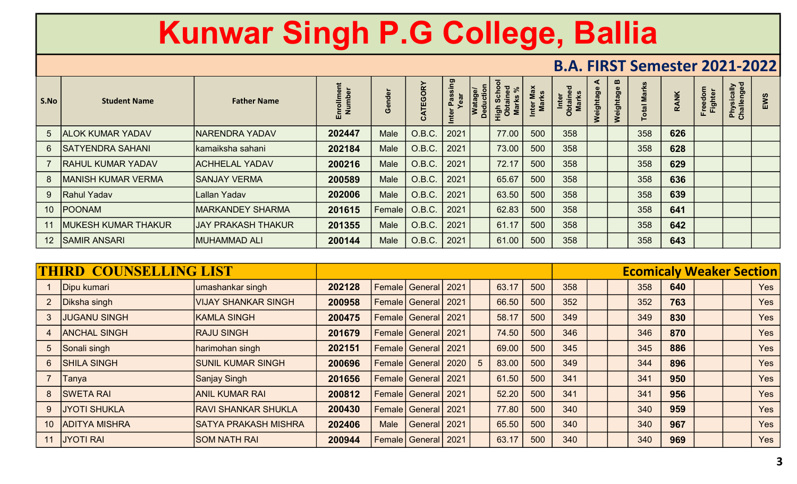| S.No            | <b>Student Name</b>       | <b>Father Name</b>        |        |            | TEGORY<br>$\mathbf{o}$ | assing<br>ear | Ded<br>Iš | $\overline{O}$ $\overline{O}$<br>iga : |     | $\overline{\mathbf{c}}$<br>Inter<br>btain<br><b>Marks</b> | eightage<br>⋧ | $\boldsymbol{\omega}$<br>eightage | ⊢   | $\check{\mathbf{z}}$ | <sup>:</sup> reeu<br>Fighter | Physically<br>Challenged |  |
|-----------------|---------------------------|---------------------------|--------|------------|------------------------|---------------|-----------|----------------------------------------|-----|-----------------------------------------------------------|---------------|-----------------------------------|-----|----------------------|------------------------------|--------------------------|--|
| $5\overline{)}$ | <b>ALOK KUMAR YADAV</b>   | <b>NARENDRA YADAV</b>     | 202447 | Male       | O.B.C.                 | 2021          |           | 77.00                                  | 500 | 358                                                       |               |                                   | 358 | 626                  |                              |                          |  |
| 6               | <b>ISATYENDRA SAHANI</b>  | kamaiksha sahani          | 202184 | Male       | O.B.C.                 | 2021          |           | 73.00                                  | 500 | 358                                                       |               |                                   | 358 | 628                  |                              |                          |  |
|                 | <b>RAHUL KUMAR YADAV</b>  | <b>ACHHELAL YADAV</b>     | 200216 | Male       | O.B.C.                 | 2021          |           | 72.17                                  | 500 | 358                                                       |               |                                   | 358 | 629                  |                              |                          |  |
| 8               | <b>MANISH KUMAR VERMA</b> | <b>SANJAY VERMA</b>       | 200589 | Male       | O.B.C.                 | 2021          |           | 65.67                                  | 500 | 358                                                       |               |                                   | 358 | 636                  |                              |                          |  |
| 9               | <b>Rahul Yadav</b>        | Lallan Yadav              | 202006 | Male       | O.B.C.                 | 2021          |           | 63.50                                  | 500 | 358                                                       |               |                                   | 358 | 639                  |                              |                          |  |
|                 | 10 POONAM                 | IMARKANDEY SHARMA         | 201615 | ∣ Female l | O.B.C.                 | 2021          |           | 62.83                                  | 500 | 358                                                       |               |                                   | 358 | 641                  |                              |                          |  |
|                 | MUKESH KUMAR THAKUR       | <b>JAY PRAKASH THAKUR</b> | 201355 | Male       | O.B.C.                 | 2021          |           | 61.17                                  | 500 | 358                                                       |               |                                   | 358 | 642                  |                              |                          |  |
|                 | 12 SAMIR ANSARI           | MUHAMMAD ALI              | 200144 | Male       | O.B.C.                 | 2021          |           | 61.00                                  | 500 | 358                                                       |               |                                   | 358 | 643                  |                              |                          |  |

|                 | <b>THIRD COUNSELLING LIST</b> |                             |        |             |                                |   |       |     |     |  | <b>Ecomicaly Weaker Section</b> |     |  |            |
|-----------------|-------------------------------|-----------------------------|--------|-------------|--------------------------------|---|-------|-----|-----|--|---------------------------------|-----|--|------------|
|                 | Dipu kumari                   | umashankar singh            | 202128 |             | Female General 2021            |   | 63.17 | 500 | 358 |  | 358                             | 640 |  | <b>Yes</b> |
| $\overline{2}$  | Diksha singh                  | <b>VIJAY SHANKAR SINGH</b>  | 200958 |             | <b>Female General 2021</b>     |   | 66.50 | 500 | 352 |  | 352                             | 763 |  | <b>Yes</b> |
| 3               | <b>JUGANU SINGH</b>           | <b>KAMLA SINGH</b>          | 200475 |             | <b>Female General 2021</b>     |   | 58.17 | 500 | 349 |  | 349                             | 830 |  | <b>Yes</b> |
| 4               | <b>ANCHAL SINGH</b>           | <b>RAJU SINGH</b>           | 201679 |             | <b>Female General 2021</b>     |   | 74.50 | 500 | 346 |  | 346                             | 870 |  | <b>Yes</b> |
| 5               | Sonali singh                  | harimohan singh             | 202151 |             | <b>Female   General   2021</b> |   | 69.00 | 500 | 345 |  | 345                             | 886 |  | <b>Yes</b> |
| 6               | <b>SHILA SINGH</b>            | <b>SUNIL KUMAR SINGH</b>    | 200696 |             | Female   General   2020        | 5 | 83.00 | 500 | 349 |  | 344                             | 896 |  | <b>Yes</b> |
|                 | Tanya                         | Sanjay Singh                | 201656 |             | <b>Female General 2021</b>     |   | 61.50 | 500 | 341 |  | 341                             | 950 |  | <b>Yes</b> |
| 8               | <b>ISWETA RAI</b>             | <b>ANIL KUMAR RAI</b>       | 200812 |             | <b>Female General 2021</b>     |   | 52.20 | 500 | 341 |  | 341                             | 956 |  | <b>Yes</b> |
| 9               | <b>JYOTI SHUKLA</b>           | <b>RAVI SHANKAR SHUKLA</b>  | 200430 |             | Female General 2021            |   | 77.80 | 500 | 340 |  | 340                             | 959 |  | Yes        |
| 10 <sup>°</sup> | <b>ADITYA MISHRA</b>          | <b>SATYA PRAKASH MISHRA</b> | 202406 | <b>Male</b> | General 2021                   |   | 65.50 | 500 | 340 |  | 340                             | 967 |  | <b>Yes</b> |
| 11              | <b>JYOTI RAI</b>              | <b>SOM NATH RAI</b>         | 200944 |             | <b>Female   General   2021</b> |   | 63.17 | 500 | 340 |  | 340                             | 969 |  | Yes        |